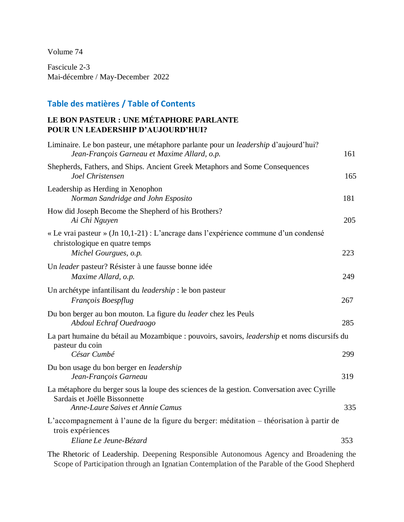Volume 74

Fascicule 2-3 Mai-décembre / May-December 2022

## **Table des matières / Table of Contents**

## **LE BON PASTEUR : UNE MÉTAPHORE PARLANTE POUR UN LEADERSHIP D'AUJOURD'HUI?**

| Liminaire. Le bon pasteur, une métaphore parlante pour un <i>leadership</i> d'aujourd'hui?<br>Jean-François Garneau et Maxime Allard, o.p.                      | 161 |
|-----------------------------------------------------------------------------------------------------------------------------------------------------------------|-----|
| Shepherds, Fathers, and Ships. Ancient Greek Metaphors and Some Consequences<br>Joel Christensen                                                                | 165 |
| Leadership as Herding in Xenophon<br>Norman Sandridge and John Esposito                                                                                         | 181 |
| How did Joseph Become the Shepherd of his Brothers?<br>Ai Chi Nguyen                                                                                            | 205 |
| « Le vrai pasteur » (Jn 10,1-21) : L'ancrage dans l'expérience commune d'un condensé<br>christologique en quatre temps<br>Michel Gourgues, o.p.                 | 223 |
| Un leader pasteur? Résister à une fausse bonne idée<br>Maxime Allard, o.p.                                                                                      | 249 |
| Un archétype infantilisant du <i>leadership</i> : le bon pasteur<br>François Boespflug                                                                          | 267 |
| Du bon berger au bon mouton. La figure du <i>leader</i> chez les Peuls<br>Abdoul Echraf Ouedraogo                                                               | 285 |
| La part humaine du bétail au Mozambique : pouvoirs, savoirs, <i>leadership</i> et noms discursifs du                                                            |     |
| pasteur du coin<br>César Cumbé                                                                                                                                  | 299 |
| Du bon usage du bon berger en leadership<br>Jean-François Garneau                                                                                               | 319 |
| La métaphore du berger sous la loupe des sciences de la gestion. Conversation avec Cyrille<br>Sardais et Joëlle Bissonnette<br>Anne-Laure Saives et Annie Camus | 335 |
| L'accompagnement à l'aune de la figure du berger: méditation – théorisation à partir de<br>trois expériences                                                    |     |
| Eliane Le Jeune-Bézard                                                                                                                                          | 353 |
| The District of Lectuality December Democratic Astronomy Assume and Davidsation the                                                                             |     |

The Rhetoric of Leadership. Deepening Responsible Autonomous Agency and Broadening the Scope of Participation through an Ignatian Contemplation of the Parable of the Good Shepherd